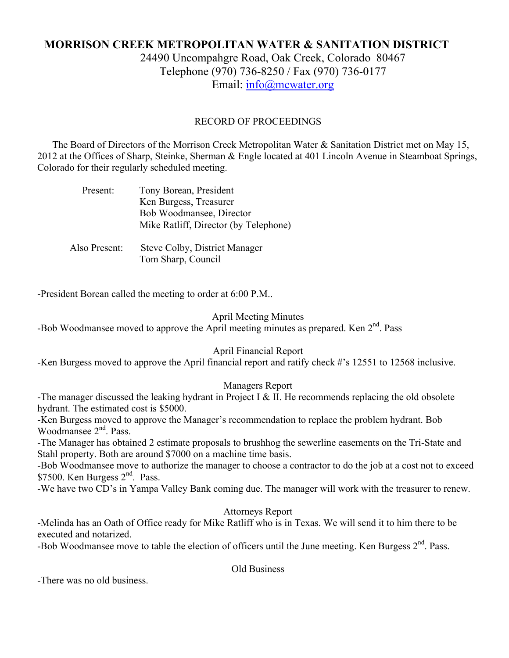# **MORRISON CREEK METROPOLITAN WATER & SANITATION DISTRICT** 24490 Uncompahgre Road, Oak Creek, Colorado 80467 Telephone (970) 736-8250 / Fax (970) 736-0177

Email: info@mcwater.org

## RECORD OF PROCEEDINGS

 The Board of Directors of the Morrison Creek Metropolitan Water & Sanitation District met on May 15, 2012 at the Offices of Sharp, Steinke, Sherman & Engle located at 401 Lincoln Avenue in Steamboat Springs, Colorado for their regularly scheduled meeting.

| Present:      | Tony Borean, President                |
|---------------|---------------------------------------|
|               | Ken Burgess, Treasurer                |
|               | Bob Woodmansee, Director              |
|               | Mike Ratliff, Director (by Telephone) |
|               |                                       |
| Also Present: | Steve Colby, District Manager         |
|               | Tom Sharp, Council                    |

-President Borean called the meeting to order at 6:00 P.M..

#### April Meeting Minutes

-Bob Woodmansee moved to approve the April meeting minutes as prepared. Ken 2<sup>nd</sup>. Pass

## April Financial Report

-Ken Burgess moved to approve the April financial report and ratify check #'s 12551 to 12568 inclusive.

## Managers Report

-The manager discussed the leaking hydrant in Project I  $&$  II. He recommends replacing the old obsolete hydrant. The estimated cost is \$5000.

-Ken Burgess moved to approve the Manager's recommendation to replace the problem hydrant. Bob Woodmansee 2<sup>nd</sup>. Pass.

-The Manager has obtained 2 estimate proposals to brushhog the sewerline easements on the Tri-State and Stahl property. Both are around \$7000 on a machine time basis.

-Bob Woodmansee move to authorize the manager to choose a contractor to do the job at a cost not to exceed \$7500. Ken Burgess 2<sup>nd</sup>. Pass.

-We have two CD's in Yampa Valley Bank coming due. The manager will work with the treasurer to renew.

Attorneys Report

-Melinda has an Oath of Office ready for Mike Ratliff who is in Texas. We will send it to him there to be executed and notarized.

-Bob Woodmansee move to table the election of officers until the June meeting. Ken Burgess  $2<sup>nd</sup>$ . Pass.

Old Business

-There was no old business.